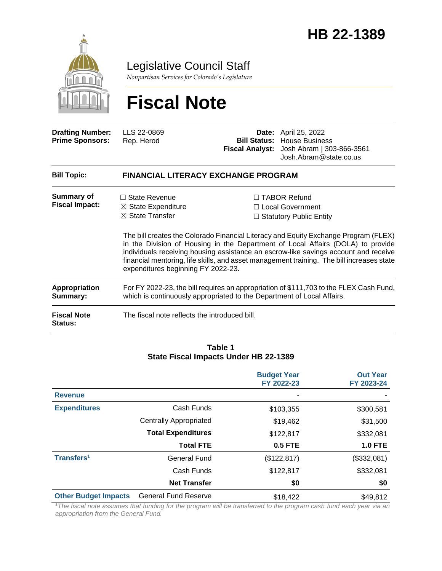

Legislative Council Staff

*Nonpartisan Services for Colorado's Legislature*

# **Fiscal Note**

| <b>Drafting Number:</b><br><b>Prime Sponsors:</b> | LLS 22-0869<br>Rep. Herod                                                                                                                                        | <b>Bill Status:</b> | <b>Date:</b> April 25, 2022<br><b>House Business</b><br>Fiscal Analyst: Josh Abram   303-866-3561<br>Josh.Abram@state.co.us                                                                                                                                                                                                                                                                                                          |  |  |  |
|---------------------------------------------------|------------------------------------------------------------------------------------------------------------------------------------------------------------------|---------------------|--------------------------------------------------------------------------------------------------------------------------------------------------------------------------------------------------------------------------------------------------------------------------------------------------------------------------------------------------------------------------------------------------------------------------------------|--|--|--|
| <b>Bill Topic:</b>                                | <b>FINANCIAL LITERACY EXCHANGE PROGRAM</b>                                                                                                                       |                     |                                                                                                                                                                                                                                                                                                                                                                                                                                      |  |  |  |
| Summary of<br><b>Fiscal Impact:</b>               | $\Box$ State Revenue<br>$\boxtimes$ State Expenditure<br>$\boxtimes$ State Transfer<br>expenditures beginning FY 2022-23.                                        |                     | □ TABOR Refund<br>□ Local Government<br>$\Box$ Statutory Public Entity<br>The bill creates the Colorado Financial Literacy and Equity Exchange Program (FLEX)<br>in the Division of Housing in the Department of Local Affairs (DOLA) to provide<br>individuals receiving housing assistance an escrow-like savings account and receive<br>financial mentoring, life skills, and asset management training. The bill increases state |  |  |  |
| Appropriation<br>Summary:                         | For FY 2022-23, the bill requires an appropriation of \$111,703 to the FLEX Cash Fund,<br>which is continuously appropriated to the Department of Local Affairs. |                     |                                                                                                                                                                                                                                                                                                                                                                                                                                      |  |  |  |
| <b>Fiscal Note</b><br>Status:                     | The fiscal note reflects the introduced bill.                                                                                                                    |                     |                                                                                                                                                                                                                                                                                                                                                                                                                                      |  |  |  |

#### **Table 1 State Fiscal Impacts Under HB 22-1389**

|                             |                               | <b>Budget Year</b><br>FY 2022-23 | <b>Out Year</b><br>FY 2023-24 |
|-----------------------------|-------------------------------|----------------------------------|-------------------------------|
| <b>Revenue</b>              |                               |                                  |                               |
| <b>Expenditures</b>         | Cash Funds                    | \$103,355                        | \$300,581                     |
|                             | <b>Centrally Appropriated</b> | \$19,462                         | \$31,500                      |
|                             | <b>Total Expenditures</b>     | \$122,817                        | \$332,081                     |
|                             | <b>Total FTE</b>              | <b>0.5 FTE</b>                   | <b>1.0 FTE</b>                |
| Transfers <sup>1</sup>      | General Fund                  | (\$122, 817)                     | (\$332,081)                   |
|                             | Cash Funds                    | \$122,817                        | \$332,081                     |
|                             | <b>Net Transfer</b>           | \$0                              | \$0                           |
| <b>Other Budget Impacts</b> | <b>General Fund Reserve</b>   | \$18,422                         | \$49,812                      |

*<sup>1</sup>The fiscal note assumes that funding for the program will be transferred to the program cash fund each year via an appropriation from the General Fund.*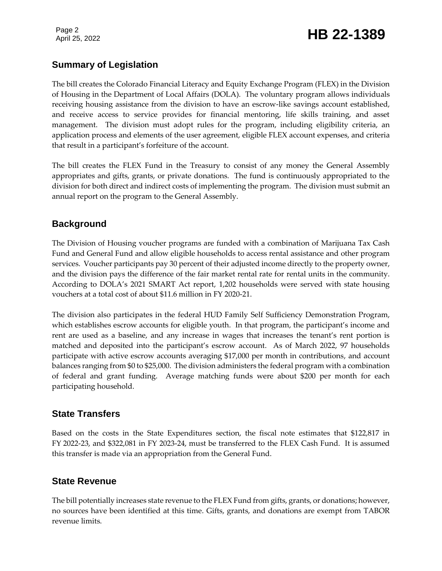# Page 2<br>April 25, 2022 **HB 22-1389**

## **Summary of Legislation**

The bill creates the Colorado Financial Literacy and Equity Exchange Program (FLEX) in the Division of Housing in the Department of Local Affairs (DOLA). The voluntary program allows individuals receiving housing assistance from the division to have an escrow-like savings account established, and receive access to service provides for financial mentoring, life skills training, and asset management. The division must adopt rules for the program, including eligibility criteria, an application process and elements of the user agreement, eligible FLEX account expenses, and criteria that result in a participant's forfeiture of the account.

The bill creates the FLEX Fund in the Treasury to consist of any money the General Assembly appropriates and gifts, grants, or private donations. The fund is continuously appropriated to the division for both direct and indirect costs of implementing the program. The division must submit an annual report on the program to the General Assembly.

#### **Background**

The Division of Housing voucher programs are funded with a combination of Marijuana Tax Cash Fund and General Fund and allow eligible households to access rental assistance and other program services. Voucher participants pay 30 percent of their adjusted income directly to the property owner, and the division pays the difference of the fair market rental rate for rental units in the community. According to DOLA's 2021 SMART Act report, 1,202 households were served with state housing vouchers at a total cost of about \$11.6 million in FY 2020-21.

The division also participates in the federal HUD Family Self Sufficiency Demonstration Program, which establishes escrow accounts for eligible youth. In that program, the participant's income and rent are used as a baseline, and any increase in wages that increases the tenant's rent portion is matched and deposited into the participant's escrow account. As of March 2022, 97 households participate with active escrow accounts averaging \$17,000 per month in contributions, and account balances ranging from \$0 to \$25,000. The division administers the federal program with a combination of federal and grant funding. Average matching funds were about \$200 per month for each participating household.

### **State Transfers**

Based on the costs in the State Expenditures section, the fiscal note estimates that \$122,817 in FY 2022-23, and \$322,081 in FY 2023-24, must be transferred to the FLEX Cash Fund. It is assumed this transfer is made via an appropriation from the General Fund.

### **State Revenue**

The bill potentially increases state revenue to the FLEX Fund from gifts, grants, or donations; however, no sources have been identified at this time. Gifts, grants, and donations are exempt from TABOR revenue limits.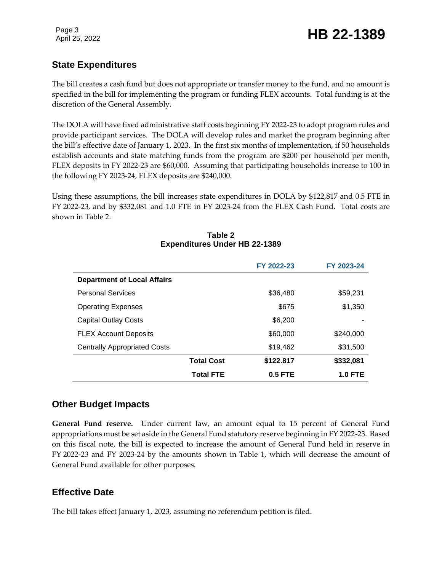### **State Expenditures**

The bill creates a cash fund but does not appropriate or transfer money to the fund, and no amount is specified in the bill for implementing the program or funding FLEX accounts. Total funding is at the discretion of the General Assembly.

The DOLA will have fixed administrative staff costs beginning FY 2022-23 to adopt program rules and provide participant services. The DOLA will develop rules and market the program beginning after the bill's effective date of January 1, 2023. In the first six months of implementation, if 50 households establish accounts and state matching funds from the program are \$200 per household per month, FLEX deposits in FY 2022-23 are \$60,000. Assuming that participating households increase to 100 in the following FY 2023-24, FLEX deposits are \$240,000.

Using these assumptions, the bill increases state expenditures in DOLA by \$122,817 and 0.5 FTE in FY 2022-23, and by \$332,081 and 1.0 FTE in FY 2023-24 from the FLEX Cash Fund. Total costs are shown in Table 2.

|                                     |                   | FY 2022-23 | FY 2023-24     |  |
|-------------------------------------|-------------------|------------|----------------|--|
| <b>Department of Local Affairs</b>  |                   |            |                |  |
| <b>Personal Services</b>            |                   | \$36,480   | \$59,231       |  |
| <b>Operating Expenses</b>           |                   | \$675      | \$1,350        |  |
| <b>Capital Outlay Costs</b>         |                   | \$6,200    |                |  |
| <b>FLEX Account Deposits</b>        |                   | \$60,000   | \$240,000      |  |
| <b>Centrally Appropriated Costs</b> |                   | \$19,462   | \$31,500       |  |
|                                     | <b>Total Cost</b> | \$122.817  | \$332,081      |  |
|                                     | <b>Total FTE</b>  | $0.5$ FTE  | <b>1.0 FTE</b> |  |

#### **Table 2 Expenditures Under HB 22-1389**

#### **Other Budget Impacts**

**General Fund reserve.** Under current law, an amount equal to 15 percent of General Fund appropriations must be set aside in the General Fund statutory reserve beginning in FY 2022-23. Based on this fiscal note, the bill is expected to increase the amount of General Fund held in reserve in FY 2022-23 and FY 2023-24 by the amounts shown in Table 1, which will decrease the amount of General Fund available for other purposes.

#### **Effective Date**

The bill takes effect January 1, 2023, assuming no referendum petition is filed.